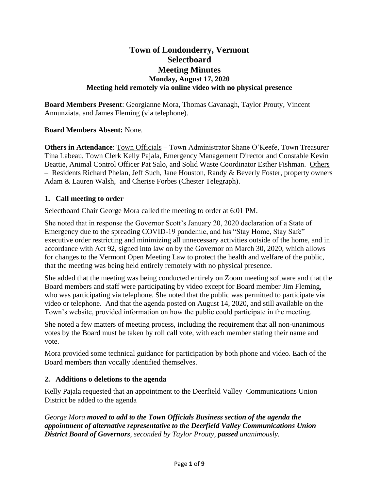# **Town of Londonderry, Vermont Selectboard Meeting Minutes Monday, August 17, 2020 Meeting held remotely via online video with no physical presence**

**Board Members Present**: Georgianne Mora, Thomas Cavanagh, Taylor Prouty, Vincent Annunziata, and James Fleming (via telephone).

### **Board Members Absent:** None.

**Others in Attendance**: Town Officials – Town Administrator Shane O'Keefe, Town Treasurer Tina Labeau, Town Clerk Kelly Pajala, Emergency Management Director and Constable Kevin Beattie, Animal Control Officer Pat Salo, and Solid Waste Coordinator Esther Fishman. Others – Residents Richard Phelan, Jeff Such, Jane Houston, Randy & Beverly Foster, property owners Adam & Lauren Walsh, and Cherise Forbes (Chester Telegraph).

### **1. Call meeting to order**

Selectboard Chair George Mora called the meeting to order at 6:01 PM.

She noted that in response the Governor Scott's January 20, 2020 declaration of a State of Emergency due to the spreading COVID-19 pandemic, and his "Stay Home, Stay Safe" executive order restricting and minimizing all unnecessary activities outside of the home, and in accordance with Act 92, signed into law on by the Governor on March 30, 2020, which allows for changes to the Vermont Open Meeting Law to protect the health and welfare of the public, that the meeting was being held entirely remotely with no physical presence.

She added that the meeting was being conducted entirely on Zoom meeting software and that the Board members and staff were participating by video except for Board member Jim Fleming, who was participating via telephone. She noted that the public was permitted to participate via video or telephone. And that the agenda posted on August 14, 2020, and still available on the Town's website, provided information on how the public could participate in the meeting.

She noted a few matters of meeting process, including the requirement that all non-unanimous votes by the Board must be taken by roll call vote, with each member stating their name and vote.

Mora provided some technical guidance for participation by both phone and video. Each of the Board members than vocally identified themselves.

# **2. Additions o deletions to the agenda**

Kelly Pajala requested that an appointment to the Deerfield Valley Communications Union District be added to the agenda

*George Mora moved to add to the Town Officials Business section of the agenda the appointment of alternative representative to the Deerfield Valley Communications Union District Board of Governors, seconded by Taylor Prouty, passed unanimously.*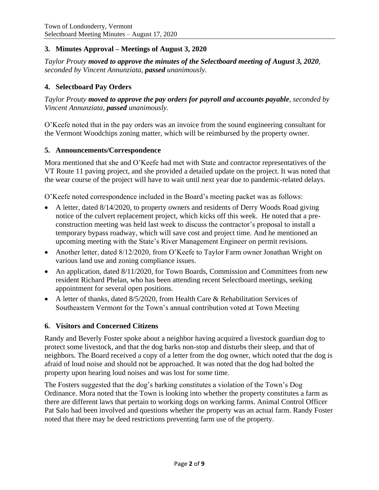# **3. Minutes Approval – Meetings of August 3, 2020**

*Taylor Prouty moved to approve the minutes of the Selectboard meeting of August 3, 2020, seconded by Vincent Annunziata, passed unanimously.*

# **4. Selectboard Pay Orders**

*Taylor Prouty moved to approve the pay orders for payroll and accounts payable, seconded by Vincent Annunziata, passed unanimously.*

O'Keefe noted that in the pay orders was an invoice from the sound engineering consultant for the Vermont Woodchips zoning matter, which will be reimbursed by the property owner.

#### **5. Announcements/Correspondence**

Mora mentioned that she and O'Keefe had met with State and contractor representatives of the VT Route 11 paving project, and she provided a detailed update on the project. It was noted that the wear course of the project will have to wait until next year due to pandemic-related delays.

O'Keefe noted correspondence included in the Board's meeting packet was as follows:

- A letter, dated 8/14/2020, to property owners and residents of Derry Woods Road giving notice of the culvert replacement project, which kicks off this week. He noted that a preconstruction meeting was held last week to discuss the contractor's proposal to install a temporary bypass roadway, which will save cost and project time. And he mentioned an upcoming meeting with the State's River Management Engineer on permit revisions.
- Another letter, dated 8/12/2020, from O'Keefe to Taylor Farm owner Jonathan Wright on various land use and zoning compliance issues.
- An application, dated 8/11/2020, for Town Boards, Commission and Committees from new resident Richard Phelan, who has been attending recent Selectboard meetings, seeking appointment for several open positions.
- A letter of thanks, dated 8/5/2020, from Health Care & Rehabilitation Services of Southeastern Vermont for the Town's annual contribution voted at Town Meeting

# **6. Visitors and Concerned Citizens**

Randy and Beverly Foster spoke about a neighbor having acquired a livestock guardian dog to protect some livestock, and that the dog barks non-stop and disturbs their sleep, and that of neighbors. The Board received a copy of a letter from the dog owner, which noted that the dog is afraid of loud noise and should not be approached. It was noted that the dog had bolted the property upon hearing loud noises and was lost for some time.

The Fosters suggested that the dog's barking constitutes a violation of the Town's Dog Ordinance. Mora noted that the Town is looking into whether the property constitutes a farm as there are different laws that pertain to working dogs on working farms. Animal Control Officer Pat Salo had been involved and questions whether the property was an actual farm. Randy Foster noted that there may be deed restrictions preventing farm use of the property.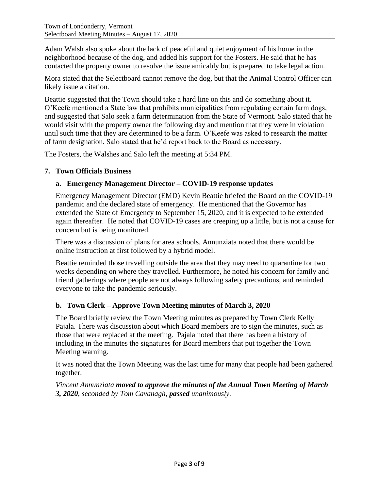Adam Walsh also spoke about the lack of peaceful and quiet enjoyment of his home in the neighborhood because of the dog, and added his support for the Fosters. He said that he has contacted the property owner to resolve the issue amicably but is prepared to take legal action.

Mora stated that the Selectboard cannot remove the dog, but that the Animal Control Officer can likely issue a citation.

Beattie suggested that the Town should take a hard line on this and do something about it. O'Keefe mentioned a State law that prohibits municipalities from regulating certain farm dogs, and suggested that Salo seek a farm determination from the State of Vermont. Salo stated that he would visit with the property owner the following day and mention that they were in violation until such time that they are determined to be a farm. O'Keefe was asked to research the matter of farm designation. Salo stated that he'd report back to the Board as necessary.

The Fosters, the Walshes and Salo left the meeting at 5:34 PM.

### **7. Town Officials Business**

# **a. Emergency Management Director – COVID-19 response updates**

Emergency Management Director (EMD) Kevin Beattie briefed the Board on the COVID-19 pandemic and the declared state of emergency. He mentioned that the Governor has extended the State of Emergency to September 15, 2020, and it is expected to be extended again thereafter. He noted that COVID-19 cases are creeping up a little, but is not a cause for concern but is being monitored.

There was a discussion of plans for area schools. Annunziata noted that there would be online instruction at first followed by a hybrid model.

Beattie reminded those travelling outside the area that they may need to quarantine for two weeks depending on where they travelled. Furthermore, he noted his concern for family and friend gatherings where people are not always following safety precautions, and reminded everyone to take the pandemic seriously.

#### **b. Town Clerk – Approve Town Meeting minutes of March 3, 2020**

The Board briefly review the Town Meeting minutes as prepared by Town Clerk Kelly Pajala. There was discussion about which Board members are to sign the minutes, such as those that were replaced at the meeting. Pajala noted that there has been a history of including in the minutes the signatures for Board members that put together the Town Meeting warning.

It was noted that the Town Meeting was the last time for many that people had been gathered together.

*Vincent Annunziata moved to approve the minutes of the Annual Town Meeting of March 3, 2020, seconded by Tom Cavanagh, passed unanimously.*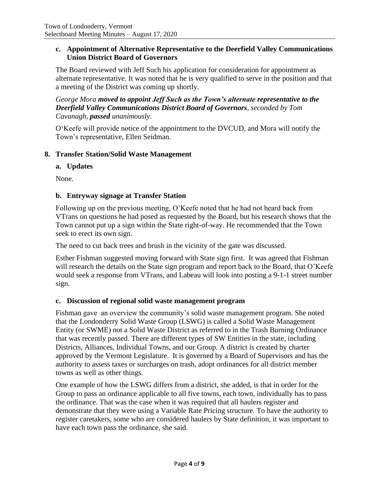# **c. Appointment of Alternative Representative to the Deerfield Valley Communications Union District Board of Governors**

The Board reviewed with Jeff Such his application for consideration for appointment as alternate representative. It was noted that he is very qualified to serve in the position and that a meeting of the District was coming up shortly.

*George Mora moved to appoint Jeff Such as the Town's alternate representative to the Deerfield Valley Communications District Board of Governors, seconded by Tom Cavanagh, passed unanimously.*

O'Keefe will provide notice of the appointment to the DVCUD, and Mora will notify the Town's representative, Ellen Seidman.

### **8. Transfer Station/Solid Waste Management**

#### **a. Updates**

None.

# **b. Entryway signage at Transfer Station**

Following up on the previous meeting, O'Keefe noted that he had not heard back from VTrans on questions he had posed as requested by the Board, but his research shows that the Town cannot put up a sign within the State right-of-way. He recommended that the Town seek to erect its own sign.

The need to cut back trees and brush in the vicinity of the gate was discussed.

Esther Fishman suggested moving forward with State sign first. It was agreed that Fishman will research the details on the State sign program and report back to the Board, that O'Keefe would seek a response from VTrans, and Labeau will look into posting a 9-1-1 street number sign.

#### **c. Discussion of regional solid waste management program**

Fishman gave an overview the community's solid waste management program. She noted that the Londonderry Solid Waste Group (LSWG) is called a Solid Waste Management Entity (or SWME) not a Solid Waste District as referred to in the Trash Burning Ordinance that was recently passed. There are different types of SW Entities in the state, including Districts, Alliances, Individual Towns, and our Group. A district is created by charter approved by the Vermont Legislature. It is governed by a Board of Supervisors and has the authority to assess taxes or surcharges on trash, adopt ordinances for all district member towns as well as other things.

One example of how the LSWG differs from a district, she added, is that in order for the Group to pass an ordinance applicable to all five towns, each town, individually has to pass the ordinance. That was the case when it was required that all haulers register and demonstrate that they were using a Variable Rate Pricing structure. To have the authority to register caretakers, some who are considered haulers by State definition, it was important to have each town pass the ordinance, she said.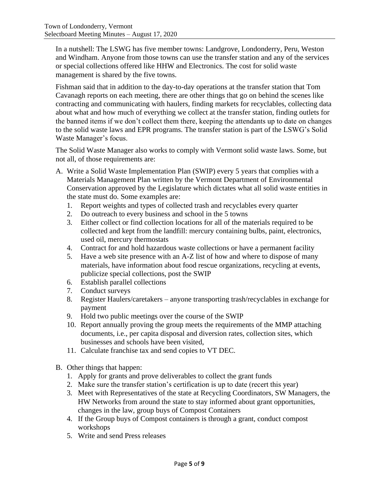In a nutshell: The LSWG has five member towns: Landgrove, Londonderry, Peru, Weston and Windham. Anyone from those towns can use the transfer station and any of the services or special collections offered like HHW and Electronics. The cost for solid waste management is shared by the five towns.

Fishman said that in addition to the day-to-day operations at the transfer station that Tom Cavanagh reports on each meeting, there are other things that go on behind the scenes like contracting and communicating with haulers, finding markets for recyclables, collecting data about what and how much of everything we collect at the transfer station, finding outlets for the banned items if we don't collect them there, keeping the attendants up to date on changes to the solid waste laws and EPR programs. The transfer station is part of the LSWG's Solid Waste Manager's focus.

The Solid Waste Manager also works to comply with Vermont solid waste laws. Some, but not all, of those requirements are:

- A. Write a Solid Waste Implementation Plan (SWIP) every 5 years that complies with a Materials Management Plan written by the Vermont Department of Environmental Conservation approved by the Legislature which dictates what all solid waste entities in the state must do. Some examples are:
	- 1. Report weights and types of collected trash and recyclables every quarter
	- 2. Do outreach to every business and school in the 5 towns
	- 3. Either collect or find collection locations for all of the materials required to be collected and kept from the landfill: mercury containing bulbs, paint, electronics, used oil, mercury thermostats
	- 4. Contract for and hold hazardous waste collections or have a permanent facility
	- 5. Have a web site presence with an A-Z list of how and where to dispose of many materials, have information about food rescue organizations, recycling at events, publicize special collections, post the SWIP
	- 6. Establish parallel collections
	- 7. Conduct surveys
	- 8. Register Haulers/caretakers anyone transporting trash/recyclables in exchange for payment
	- 9. Hold two public meetings over the course of the SWIP
	- 10. Report annually proving the group meets the requirements of the MMP attaching documents, i.e., per capita disposal and diversion rates, collection sites, which businesses and schools have been visited,
	- 11. Calculate franchise tax and send copies to VT DEC.
- B. Other things that happen:
	- 1. Apply for grants and prove deliverables to collect the grant funds
	- 2. Make sure the transfer station's certification is up to date (recert this year)
	- 3. Meet with Representatives of the state at Recycling Coordinators, SW Managers, the HW Networks from around the state to stay informed about grant opportunities, changes in the law, group buys of Compost Containers
	- 4. If the Group buys of Compost containers is through a grant, conduct compost workshops
	- 5. Write and send Press releases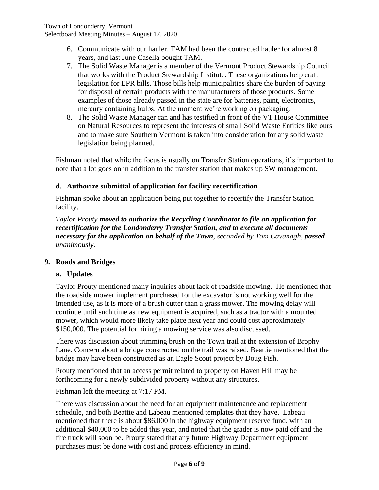- 6. Communicate with our hauler. TAM had been the contracted hauler for almost 8 years, and last June Casella bought TAM.
- 7. The Solid Waste Manager is a member of the Vermont Product Stewardship Council that works with the Product Stewardship Institute. These organizations help craft legislation for EPR bills. Those bills help municipalities share the burden of paying for disposal of certain products with the manufacturers of those products. Some examples of those already passed in the state are for batteries, paint, electronics, mercury containing bulbs. At the moment we're working on packaging.
- 8. The Solid Waste Manager can and has testified in front of the VT House Committee on Natural Resources to represent the interests of small Solid Waste Entities like ours and to make sure Southern Vermont is taken into consideration for any solid waste legislation being planned.

Fishman noted that while the focus is usually on Transfer Station operations, it's important to note that a lot goes on in addition to the transfer station that makes up SW management.

# **d. Authorize submittal of application for facility recertification**

Fishman spoke about an application being put together to recertify the Transfer Station facility.

*Taylor Prouty moved to authorize the Recycling Coordinator to file an application for recertification for the Londonderry Transfer Station, and to execute all documents necessary for the application on behalf of the Town, seconded by Tom Cavanagh, passed unanimously.*

#### **9. Roads and Bridges**

# **a. Updates**

Taylor Prouty mentioned many inquiries about lack of roadside mowing. He mentioned that the roadside mower implement purchased for the excavator is not working well for the intended use, as it is more of a brush cutter than a grass mower. The mowing delay will continue until such time as new equipment is acquired, such as a tractor with a mounted mower, which would more likely take place next year and could cost approximately \$150,000. The potential for hiring a mowing service was also discussed.

There was discussion about trimming brush on the Town trail at the extension of Brophy Lane. Concern about a bridge constructed on the trail was raised. Beattie mentioned that the bridge may have been constructed as an Eagle Scout project by Doug Fish.

Prouty mentioned that an access permit related to property on Haven Hill may be forthcoming for a newly subdivided property without any structures.

Fishman left the meeting at 7:17 PM.

There was discussion about the need for an equipment maintenance and replacement schedule, and both Beattie and Labeau mentioned templates that they have. Labeau mentioned that there is about \$86,000 in the highway equipment reserve fund, with an additional \$40,000 to be added this year, and noted that the grader is now paid off and the fire truck will soon be. Prouty stated that any future Highway Department equipment purchases must be done with cost and process efficiency in mind.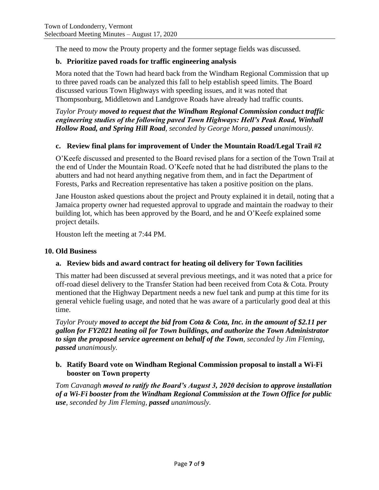The need to mow the Prouty property and the former septage fields was discussed.

# **b. Prioritize paved roads for traffic engineering analysis**

Mora noted that the Town had heard back from the Windham Regional Commission that up to three paved roads can be analyzed this fall to help establish speed limits. The Board discussed various Town Highways with speeding issues, and it was noted that Thompsonburg, Middletown and Landgrove Roads have already had traffic counts.

*Taylor Prouty moved to request that the Windham Regional Commission conduct traffic engineering studies of the following paved Town Highways: Hell's Peak Road, Winhall Hollow Road, and Spring Hill Road, seconded by George Mora, passed unanimously.*

### **c. Review final plans for improvement of Under the Mountain Road/Legal Trail #2**

O'Keefe discussed and presented to the Board revised plans for a section of the Town Trail at the end of Under the Mountain Road. O'Keefe noted that he had distributed the plans to the abutters and had not heard anything negative from them, and in fact the Department of Forests, Parks and Recreation representative has taken a positive position on the plans.

Jane Houston asked questions about the project and Prouty explained it in detail, noting that a Jamaica property owner had requested approval to upgrade and maintain the roadway to their building lot, which has been approved by the Board, and he and O'Keefe explained some project details.

Houston left the meeting at 7:44 PM.

#### **10. Old Business**

#### **a. Review bids and award contract for heating oil delivery for Town facilities**

This matter had been discussed at several previous meetings, and it was noted that a price for off-road diesel delivery to the Transfer Station had been received from Cota & Cota. Prouty mentioned that the Highway Department needs a new fuel tank and pump at this time for its general vehicle fueling usage, and noted that he was aware of a particularly good deal at this time.

*Taylor Prouty moved to accept the bid from Cota & Cota, Inc. in the amount of \$2.11 per gallon for FY2021 heating oil for Town buildings, and authorize the Town Administrator to sign the proposed service agreement on behalf of the Town, seconded by Jim Fleming, passed unanimously.*

### **b. Ratify Board vote on Windham Regional Commission proposal to install a Wi-Fi booster on Town property**

*Tom Cavanagh moved to ratify the Board's August 3, 2020 decision to approve installation of a Wi-Fi booster from the Windham Regional Commission at the Town Office for public use, seconded by Jim Fleming, passed unanimously.*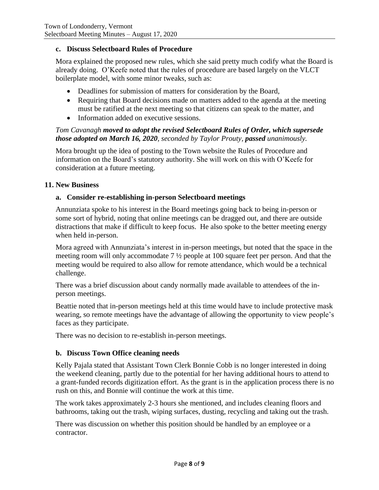### **c. Discuss Selectboard Rules of Procedure**

Mora explained the proposed new rules, which she said pretty much codify what the Board is already doing. O'Keefe noted that the rules of procedure are based largely on the VLCT boilerplate model, with some minor tweaks, such as:

- Deadlines for submission of matters for consideration by the Board,
- Requiring that Board decisions made on matters added to the agenda at the meeting must be ratified at the next meeting so that citizens can speak to the matter, and
- Information added on executive sessions.

# *Tom Cavanagh moved to adopt the revised Selectboard Rules of Order, which supersede those adopted on March 16, 2020, seconded by Taylor Prouty, passed unanimously.*

Mora brought up the idea of posting to the Town website the Rules of Procedure and information on the Board's statutory authority. She will work on this with O'Keefe for consideration at a future meeting.

### **11. New Business**

### **a. Consider re-establishing in-person Selectboard meetings**

Annunziata spoke to his interest in the Board meetings going back to being in-person or some sort of hybrid, noting that online meetings can be dragged out, and there are outside distractions that make if difficult to keep focus. He also spoke to the better meeting energy when held in-person.

Mora agreed with Annunziata's interest in in-person meetings, but noted that the space in the meeting room will only accommodate 7 ½ people at 100 square feet per person. And that the meeting would be required to also allow for remote attendance, which would be a technical challenge.

There was a brief discussion about candy normally made available to attendees of the inperson meetings.

Beattie noted that in-person meetings held at this time would have to include protective mask wearing, so remote meetings have the advantage of allowing the opportunity to view people's faces as they participate.

There was no decision to re-establish in-person meetings.

#### **b. Discuss Town Office cleaning needs**

Kelly Pajala stated that Assistant Town Clerk Bonnie Cobb is no longer interested in doing the weekend cleaning, partly due to the potential for her having additional hours to attend to a grant-funded records digitization effort. As the grant is in the application process there is no rush on this, and Bonnie will continue the work at this time.

The work takes approximately 2-3 hours she mentioned, and includes cleaning floors and bathrooms, taking out the trash, wiping surfaces, dusting, recycling and taking out the trash.

There was discussion on whether this position should be handled by an employee or a contractor.